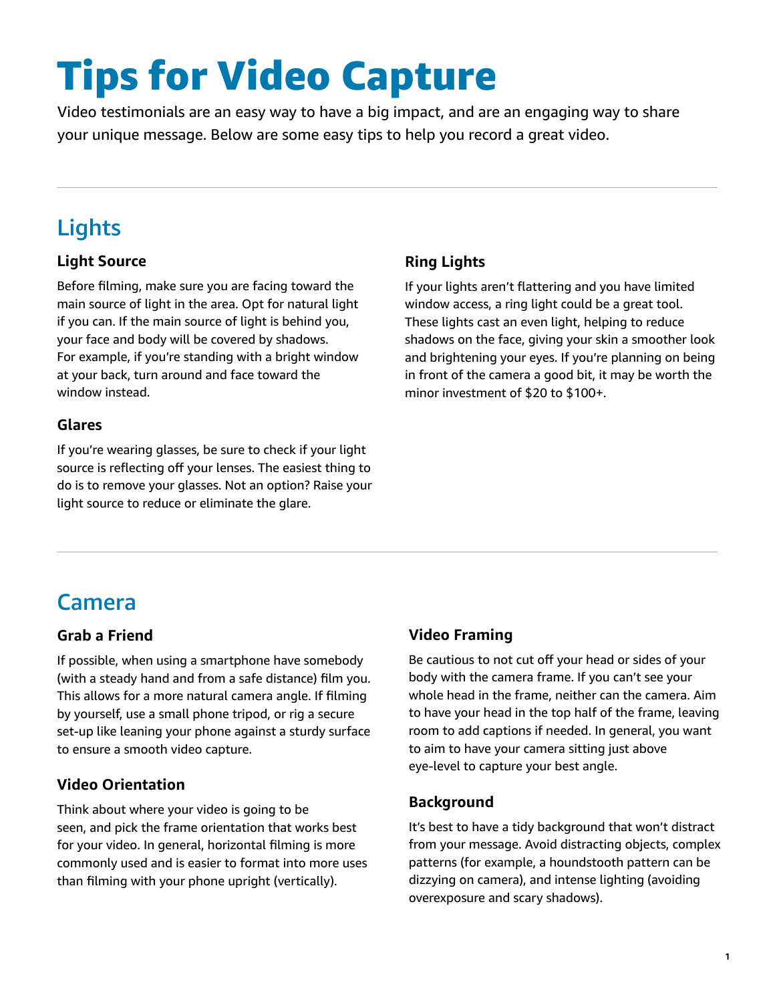# Tips for Video Capture

Video testimonials are an easy way to have a big impact, and are an engaging way to share your unique message. Below are some easy tips to help you record a great video.

## Lights

### **Light Source**

Before filming, make sure you are facing toward the main source of light in the area. Opt for natural light if you can. If the main source of light is behind you, your face and body will be covered by shadows. For example, if you're standing with a bright window at your back, turn around and face toward the window instead.

### **Glares**

If you're wearing glasses, be sure to check if your light source is reflecting off your lenses. The easiest thing to do is to remove your glasses. Not an option? Raise your light source to reduce or eliminate the glare.

### **Ring Lights**

If your lights aren't flattering and you have limited window access, a ring light could be a great tool. These lights cast an even light, helping to reduce shadows on the face, giving your skin a smoother look and brightening your eyes. If you're planning on being in front of the camera a good bit, it may be worth the minor investment of \$20 to \$100+.

## Camera

### **Grab a Friend**

If possible, when using a smartphone have somebody (with a steady hand and from a safe distance) film you. This allows for a more natural camera angle. If filming by yourself, use a small phone tripod, or rig a secure set-up like leaning your phone against a sturdy surface to ensure a smooth video capture.

### **Video Orientation**

Think about where your video is going to be seen, and pick the frame orientation that works best for your video. In general, horizontal filming is more commonly used and is easier to format into more uses than filming with your phone upright (vertically).

### **Video Framing**

Be cautious to not cut off your head or sides of your body with the camera frame. If you can't see your whole head in the frame, neither can the camera. Aim to have your head in the top half of the frame, leaving room to add captions if needed. In general, you want to aim to have your camera sitting just above eye-level to capture your best angle.

### **Background**

It's best to have a tidy background that won't distract from your message. Avoid distracting objects, complex patterns (for example, a houndstooth pattern can be dizzying on camera), and intense lighting (avoiding overexposure and scary shadows).